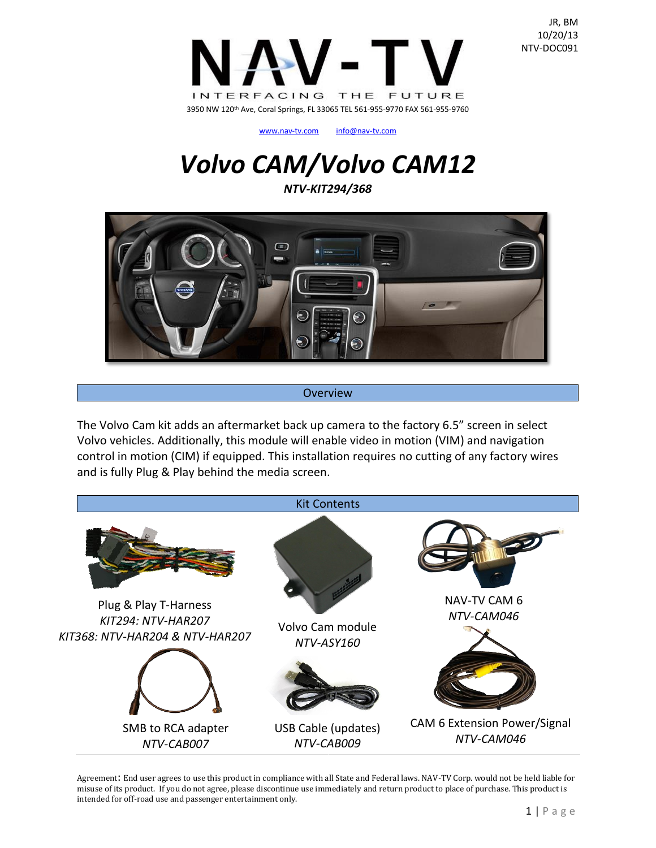

[www.nav-tv.com](http://www.nav-tv.com/) [info@nav-tv.com](mailto:info@nav-tv.com)

# *Volvo CAM/Volvo CAM12*

*NTV-KIT294/368*



#### Overview

The Volvo Cam kit adds an aftermarket back up camera to the factory 6.5" screen in select Volvo vehicles. Additionally, this module will enable video in motion (VIM) and navigation control in motion (CIM) if equipped. This installation requires no cutting of any factory wires and is fully Plug & Play behind the media screen.

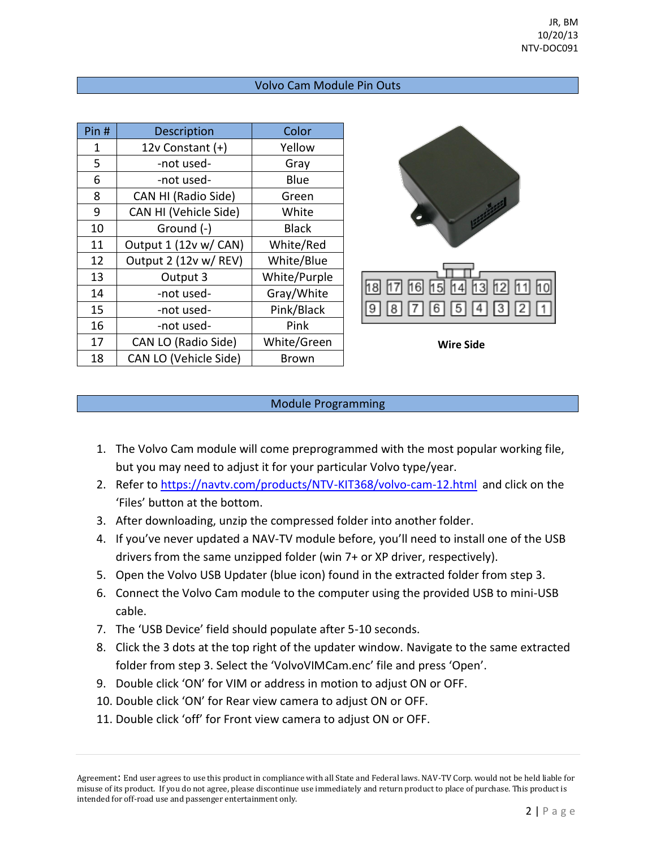### Volvo Cam Module Pin Outs

| Pin# | <b>Description</b>    | Color        |
|------|-----------------------|--------------|
| 1    | 12v Constant (+)      | Yellow       |
| 5    | -not used-            | Gray         |
| 6    | -not used-            | Blue         |
| 8    | CAN HI (Radio Side)   | Green        |
| 9    | CAN HI (Vehicle Side) | White        |
| 10   | Ground (-)            | <b>Black</b> |
| 11   | Output 1 (12v w/ CAN) | White/Red    |
| 12   | Output 2 (12v w/ REV) | White/Blue   |
| 13   | Output 3              | White/Purple |
| 14   | -not used-            | Gray/White   |
| 15   | -not used-            | Pink/Black   |
| 16   | -not used-            | Pink         |
| 17   | CAN LO (Radio Side)   | White/Green  |
| 18   | CAN LO (Vehicle Side) | Brown        |



**Wire Side**

#### Module Programming

- 1. The Volvo Cam module will come preprogrammed with the most popular working file, but you may need to adjust it for your particular Volvo type/year.
- 2. Refer to<https://navtv.com/products/NTV-KIT368/volvo-cam-12.html> and click on the 'Files' button at the bottom.
- 3. After downloading, unzip the compressed folder into another folder.
- 4. If you've never updated a NAV-TV module before, you'll need to install one of the USB drivers from the same unzipped folder (win 7+ or XP driver, respectively).
- 5. Open the Volvo USB Updater (blue icon) found in the extracted folder from step 3.
- 6. Connect the Volvo Cam module to the computer using the provided USB to mini-USB cable.
- 7. The 'USB Device' field should populate after 5-10 seconds.
- 8. Click the 3 dots at the top right of the updater window. Navigate to the same extracted folder from step 3. Select the 'VolvoVIMCam.enc' file and press 'Open'.
- 9. Double click 'ON' for VIM or address in motion to adjust ON or OFF.
- 10. Double click 'ON' for Rear view camera to adjust ON or OFF.
- 11. Double click 'off' for Front view camera to adjust ON or OFF.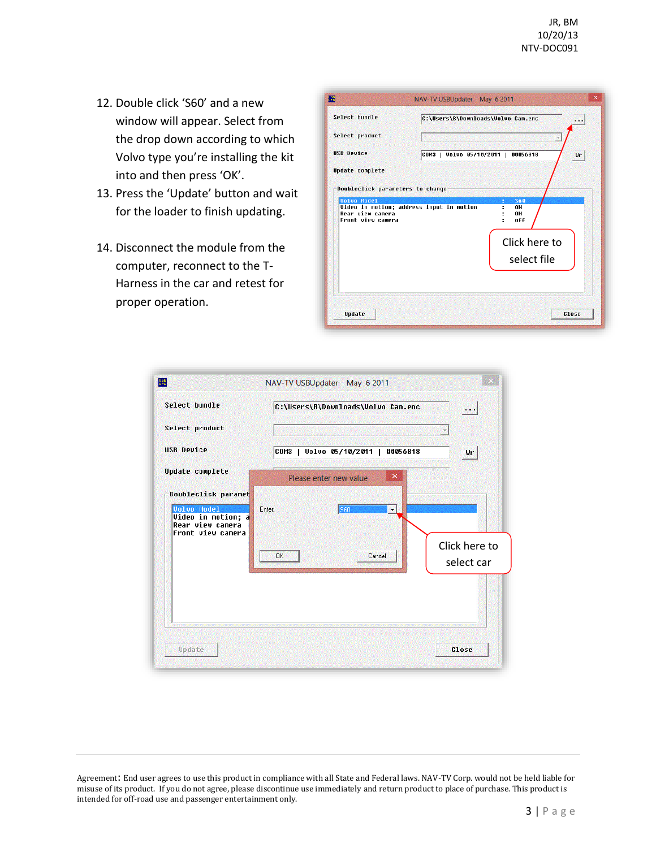- 12. Double click 'S60' and a new window will appear. Select from the drop down according to which Volvo type you're installing the kit into and then press 'OK'.
- 13. Press the 'Update' button and wait for the loader to finish updating.
- 14. Disconnect the module from the computer, reconnect to the T-Harness in the car and retest for proper operation.

| Select hundle                         |                                                 | C:\Users\B\Downloads\Volvo Cam.enc       |
|---------------------------------------|-------------------------------------------------|------------------------------------------|
| Select product                        |                                                 |                                          |
| <b>USB Device</b>                     |                                                 | COM3   Volvo 05/10/2011   00056818<br>Wr |
| <b>Update complete</b>                |                                                 |                                          |
| Doubleclick parameters to change      |                                                 |                                          |
|                                       |                                                 |                                          |
| <b>Volvo Model</b>                    | <b>Video in motion; address input in motion</b> | <b>S60</b><br>0N                         |
| Rear view camera<br>Front view camera |                                                 | <b>ON</b><br>off<br>÷                    |
|                                       |                                                 |                                          |
|                                       |                                                 | Click here to                            |
|                                       |                                                 | select file                              |
|                                       |                                                 |                                          |

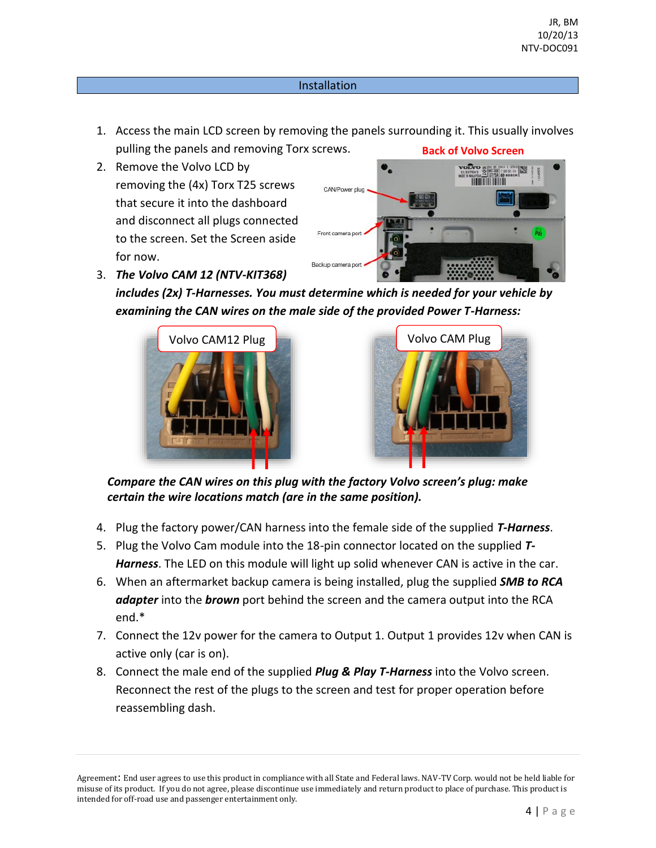## Installation

- 1. Access the main LCD screen by removing the panels surrounding it. This usually involves pulling the panels and removing Torx screws. **Back of Volvo Screen**
- 2. Remove the Volvo LCD by removing the (4x) Torx T25 screws that secure it into the dashboard and disconnect all plugs connected to the screen. Set the Screen aside for now.



3. *The Volvo CAM 12 (NTV-KIT368)*

*includes (2x) T-Harnesses. You must determine which is needed for your vehicle by examining the CAN wires on the male side of the provided Power T-Harness:*





*Compare the CAN wires on this plug with the factory Volvo screen's plug: make certain the wire locations match (are in the same position).*

- 4. Plug the factory power/CAN harness into the female side of the supplied *T-Harness*.
- 5. Plug the Volvo Cam module into the 18-pin connector located on the supplied *T-Harness*. The LED on this module will light up solid whenever CAN is active in the car.
- 6. When an aftermarket backup camera is being installed, plug the supplied *SMB to RCA adapter* into the *brown* port behind the screen and the camera output into the RCA end.\*
- 7. Connect the 12v power for the camera to Output 1. Output 1 provides 12v when CAN is active only (car is on).
- 8. Connect the male end of the supplied *Plug & Play T-Harness* into the Volvo screen. Reconnect the rest of the plugs to the screen and test for proper operation before reassembling dash.

Agreement: End user agrees to use this product in compliance with all State and Federal laws. NAV-TV Corp. would not be held liable for misuse of its product. If you do not agree, please discontinue use immediately and return product to place of purchase. This product is intended for off-road use and passenger entertainment only.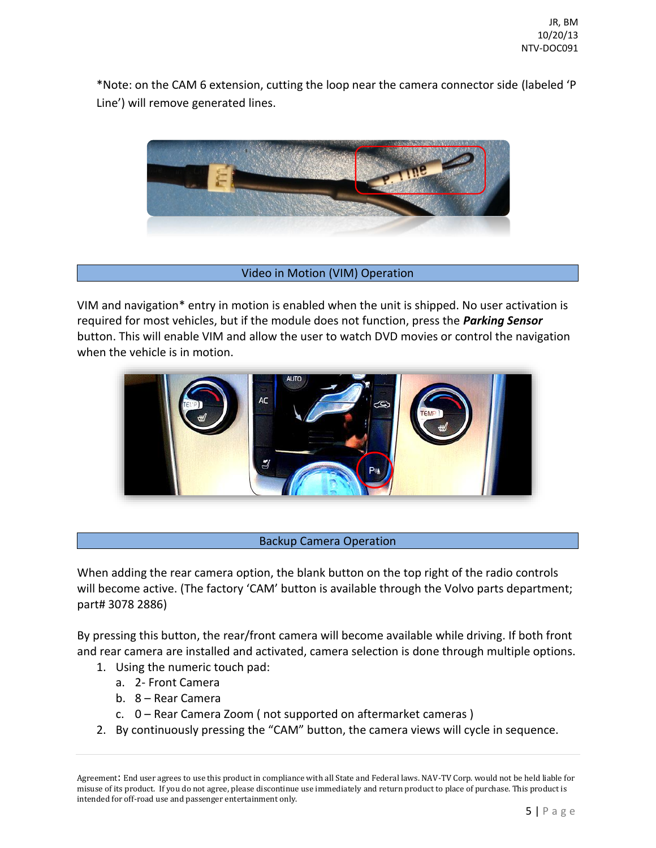\*Note: on the CAM 6 extension, cutting the loop near the camera connector side (labeled 'P Line') will remove generated lines.



## Video in Motion (VIM) Operation

VIM and navigation\* entry in motion is enabled when the unit is shipped. No user activation is required for most vehicles, but if the module does not function, press the *Parking Sensor* button. This will enable VIM and allow the user to watch DVD movies or control the navigation when the vehicle is in motion.



# Backup Camera Operation

When adding the rear camera option, the blank button on the top right of the radio controls will become active. (The factory 'CAM' button is available through the Volvo parts department; part# 3078 2886)

By pressing this button, the rear/front camera will become available while driving. If both front and rear camera are installed and activated, camera selection is done through multiple options.

- 1. Using the numeric touch pad:
	- a. 2- Front Camera
	- b. 8 Rear Camera
	- c. 0 Rear Camera Zoom ( not supported on aftermarket cameras )
- 2. By continuously pressing the "CAM" button, the camera views will cycle in sequence.